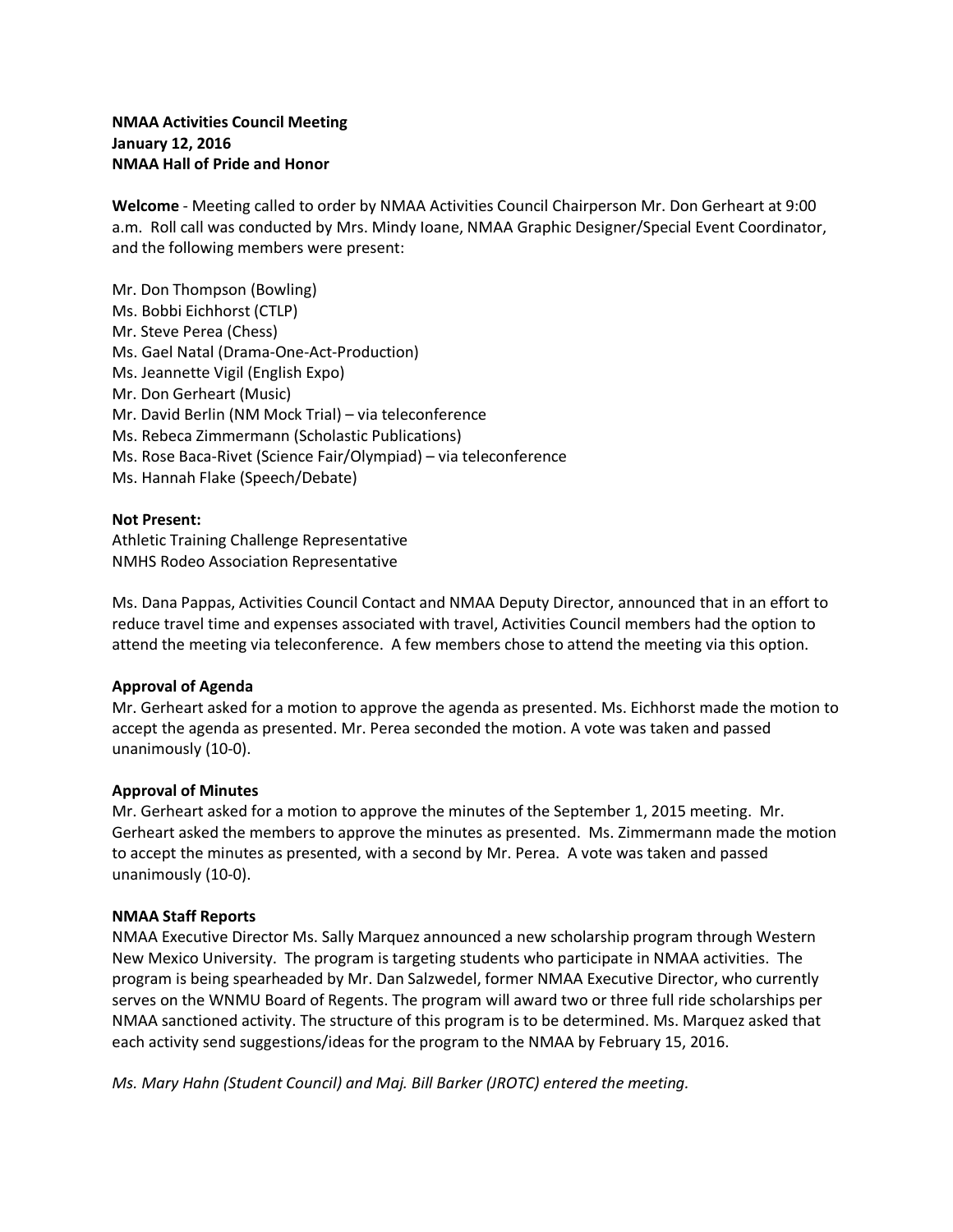## **NMAA Activities Council Meeting January 12, 2016 NMAA Hall of Pride and Honor**

**Welcome** - Meeting called to order by NMAA Activities Council Chairperson Mr. Don Gerheart at 9:00 a.m. Roll call was conducted by Mrs. Mindy Ioane, NMAA Graphic Designer/Special Event Coordinator, and the following members were present:

Mr. Don Thompson (Bowling) Ms. Bobbi Eichhorst (CTLP) Mr. Steve Perea (Chess) Ms. Gael Natal (Drama-One-Act-Production) Ms. Jeannette Vigil (English Expo) Mr. Don Gerheart (Music) Mr. David Berlin (NM Mock Trial) – via teleconference Ms. Rebeca Zimmermann (Scholastic Publications) Ms. Rose Baca-Rivet (Science Fair/Olympiad) – via teleconference Ms. Hannah Flake (Speech/Debate)

## **Not Present:**

Athletic Training Challenge Representative NMHS Rodeo Association Representative

Ms. Dana Pappas, Activities Council Contact and NMAA Deputy Director, announced that in an effort to reduce travel time and expenses associated with travel, Activities Council members had the option to attend the meeting via teleconference. A few members chose to attend the meeting via this option.

## **Approval of Agenda**

Mr. Gerheart asked for a motion to approve the agenda as presented. Ms. Eichhorst made the motion to accept the agenda as presented. Mr. Perea seconded the motion. A vote was taken and passed unanimously (10-0).

## **Approval of Minutes**

Mr. Gerheart asked for a motion to approve the minutes of the September 1, 2015 meeting. Mr. Gerheart asked the members to approve the minutes as presented. Ms. Zimmermann made the motion to accept the minutes as presented, with a second by Mr. Perea. A vote was taken and passed unanimously (10-0).

#### **NMAA Staff Reports**

NMAA Executive Director Ms. Sally Marquez announced a new scholarship program through Western New Mexico University. The program is targeting students who participate in NMAA activities. The program is being spearheaded by Mr. Dan Salzwedel, former NMAA Executive Director, who currently serves on the WNMU Board of Regents. The program will award two or three full ride scholarships per NMAA sanctioned activity. The structure of this program is to be determined. Ms. Marquez asked that each activity send suggestions/ideas for the program to the NMAA by February 15, 2016.

*Ms. Mary Hahn (Student Council) and Maj. Bill Barker (JROTC) entered the meeting.*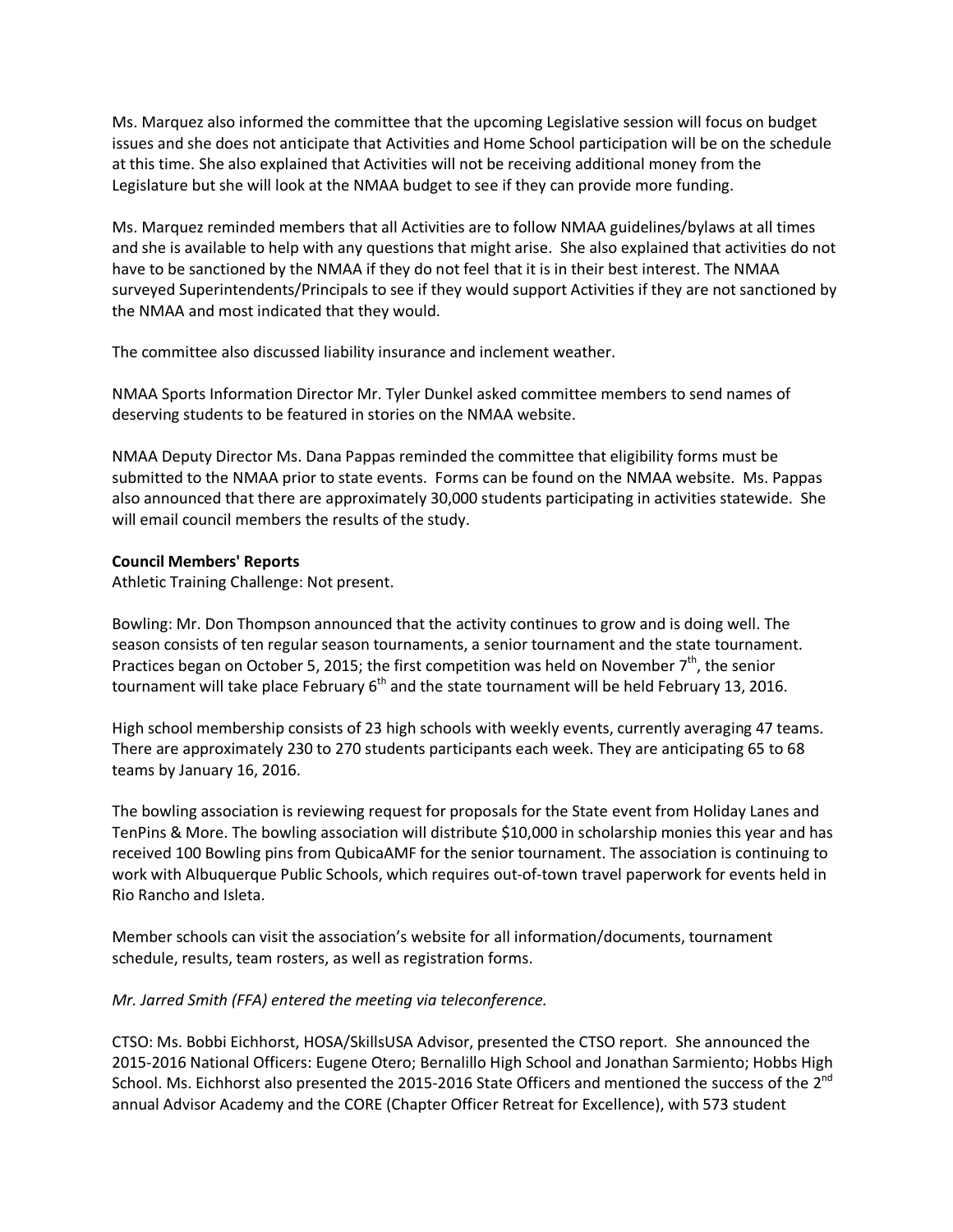Ms. Marquez also informed the committee that the upcoming Legislative session will focus on budget issues and she does not anticipate that Activities and Home School participation will be on the schedule at this time. She also explained that Activities will not be receiving additional money from the Legislature but she will look at the NMAA budget to see if they can provide more funding.

Ms. Marquez reminded members that all Activities are to follow NMAA guidelines/bylaws at all times and she is available to help with any questions that might arise. She also explained that activities do not have to be sanctioned by the NMAA if they do not feel that it is in their best interest. The NMAA surveyed Superintendents/Principals to see if they would support Activities if they are not sanctioned by the NMAA and most indicated that they would.

The committee also discussed liability insurance and inclement weather.

NMAA Sports Information Director Mr. Tyler Dunkel asked committee members to send names of deserving students to be featured in stories on the NMAA website.

NMAA Deputy Director Ms. Dana Pappas reminded the committee that eligibility forms must be submitted to the NMAA prior to state events. Forms can be found on the NMAA website. Ms. Pappas also announced that there are approximately 30,000 students participating in activities statewide. She will email council members the results of the study.

# **Council Members' Reports**

Athletic Training Challenge: Not present.

Bowling: Mr. Don Thompson announced that the activity continues to grow and is doing well. The season consists of ten regular season tournaments, a senior tournament and the state tournament. Practices began on October 5, 2015; the first competition was held on November  $7<sup>th</sup>$ , the senior tournament will take place February  $6<sup>th</sup>$  and the state tournament will be held February 13, 2016.

High school membership consists of 23 high schools with weekly events, currently averaging 47 teams. There are approximately 230 to 270 students participants each week. They are anticipating 65 to 68 teams by January 16, 2016.

The bowling association is reviewing request for proposals for the State event from Holiday Lanes and TenPins & More. The bowling association will distribute \$10,000 in scholarship monies this year and has received 100 Bowling pins from QubicaAMF for the senior tournament. The association is continuing to work with Albuquerque Public Schools, which requires out-of-town travel paperwork for events held in Rio Rancho and Isleta.

Member schools can visit the association's website for all information/documents, tournament schedule, results, team rosters, as well as registration forms.

*Mr. Jarred Smith (FFA) entered the meeting via teleconference.*

CTSO: Ms. Bobbi Eichhorst, HOSA/SkillsUSA Advisor, presented the CTSO report. She announced the 2015-2016 National Officers: Eugene Otero; Bernalillo High School and Jonathan Sarmiento; Hobbs High School. Ms. Eichhorst also presented the 2015-2016 State Officers and mentioned the success of the 2<sup>nd</sup> annual Advisor Academy and the CORE (Chapter Officer Retreat for Excellence), with 573 student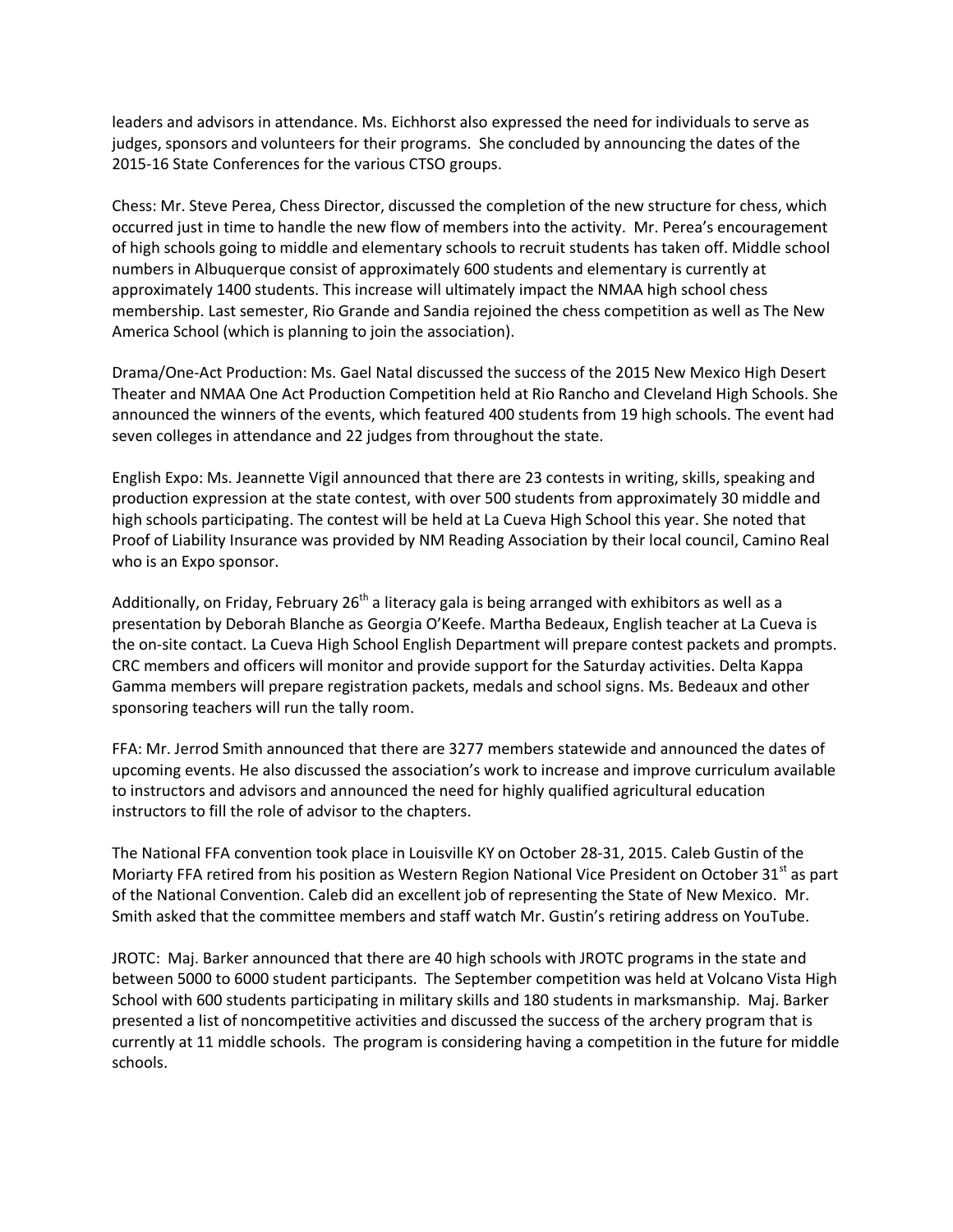leaders and advisors in attendance. Ms. Eichhorst also expressed the need for individuals to serve as judges, sponsors and volunteers for their programs. She concluded by announcing the dates of the 2015-16 State Conferences for the various CTSO groups.

Chess: Mr. Steve Perea, Chess Director, discussed the completion of the new structure for chess, which occurred just in time to handle the new flow of members into the activity. Mr. Perea's encouragement of high schools going to middle and elementary schools to recruit students has taken off. Middle school numbers in Albuquerque consist of approximately 600 students and elementary is currently at approximately 1400 students. This increase will ultimately impact the NMAA high school chess membership. Last semester, Rio Grande and Sandia rejoined the chess competition as well as The New America School (which is planning to join the association).

Drama/One-Act Production: Ms. Gael Natal discussed the success of the 2015 New Mexico High Desert Theater and NMAA One Act Production Competition held at Rio Rancho and Cleveland High Schools. She announced the winners of the events, which featured 400 students from 19 high schools. The event had seven colleges in attendance and 22 judges from throughout the state.

English Expo: Ms. Jeannette Vigil announced that there are 23 contests in writing, skills, speaking and production expression at the state contest, with over 500 students from approximately 30 middle and high schools participating. The contest will be held at La Cueva High School this year. She noted that Proof of Liability Insurance was provided by NM Reading Association by their local council, Camino Real who is an Expo sponsor.

Additionally, on Friday, February  $26<sup>th</sup>$  a literacy gala is being arranged with exhibitors as well as a presentation by Deborah Blanche as Georgia O'Keefe. Martha Bedeaux, English teacher at La Cueva is the on-site contact. La Cueva High School English Department will prepare contest packets and prompts. CRC members and officers will monitor and provide support for the Saturday activities. Delta Kappa Gamma members will prepare registration packets, medals and school signs. Ms. Bedeaux and other sponsoring teachers will run the tally room.

FFA: Mr. Jerrod Smith announced that there are 3277 members statewide and announced the dates of upcoming events. He also discussed the association's work to increase and improve curriculum available to instructors and advisors and announced the need for highly qualified agricultural education instructors to fill the role of advisor to the chapters.

The National FFA convention took place in Louisville KY on October 28-31, 2015. Caleb Gustin of the Moriarty FFA retired from his position as Western Region National Vice President on October 31 $^{\rm st}$  as part of the National Convention. Caleb did an excellent job of representing the State of New Mexico. Mr. Smith asked that the committee members and staff watch Mr. Gustin's retiring address on YouTube.

JROTC: Maj. Barker announced that there are 40 high schools with JROTC programs in the state and between 5000 to 6000 student participants. The September competition was held at Volcano Vista High School with 600 students participating in military skills and 180 students in marksmanship. Maj. Barker presented a list of noncompetitive activities and discussed the success of the archery program that is currently at 11 middle schools. The program is considering having a competition in the future for middle schools.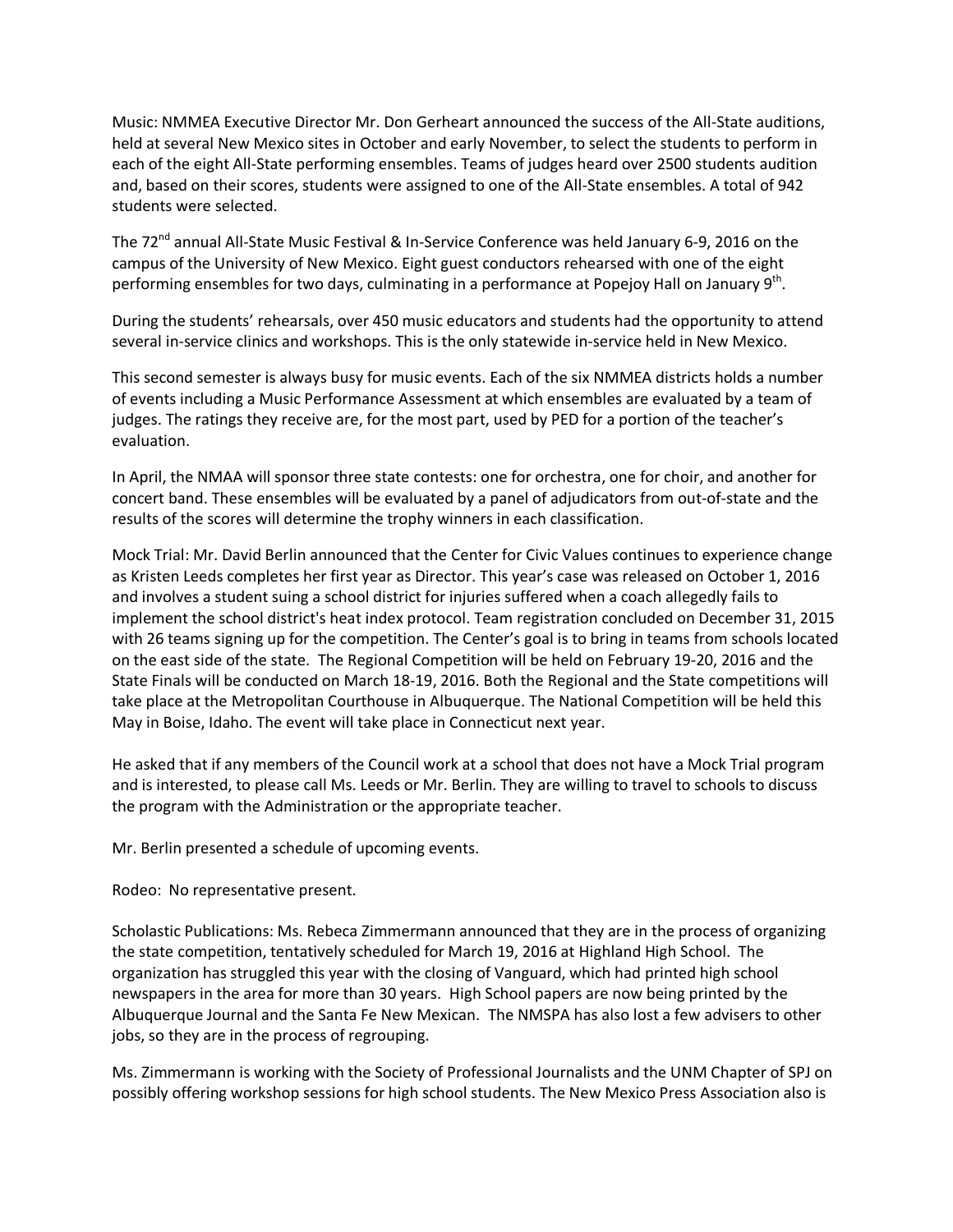Music: NMMEA Executive Director Mr. Don Gerheart announced the success of the All-State auditions, held at several New Mexico sites in October and early November, to select the students to perform in each of the eight All-State performing ensembles. Teams of judges heard over 2500 students audition and, based on their scores, students were assigned to one of the All-State ensembles. A total of 942 students were selected.

The 72<sup>nd</sup> annual All-State Music Festival & In-Service Conference was held January 6-9, 2016 on the campus of the University of New Mexico. Eight guest conductors rehearsed with one of the eight performing ensembles for two days, culminating in a performance at Popejoy Hall on January 9<sup>th</sup>.

During the students' rehearsals, over 450 music educators and students had the opportunity to attend several in-service clinics and workshops. This is the only statewide in-service held in New Mexico.

This second semester is always busy for music events. Each of the six NMMEA districts holds a number of events including a Music Performance Assessment at which ensembles are evaluated by a team of judges. The ratings they receive are, for the most part, used by PED for a portion of the teacher's evaluation.

In April, the NMAA will sponsor three state contests: one for orchestra, one for choir, and another for concert band. These ensembles will be evaluated by a panel of adjudicators from out-of-state and the results of the scores will determine the trophy winners in each classification.

Mock Trial: Mr. David Berlin announced that the Center for Civic Values continues to experience change as Kristen Leeds completes her first year as Director. This year's case was released on October 1, 2016 and involves a student suing a school district for injuries suffered when a coach allegedly fails to implement the school district's heat index protocol. Team registration concluded on December 31, 2015 with 26 teams signing up for the competition. The Center's goal is to bring in teams from schools located on the east side of the state. The Regional Competition will be held on February 19-20, 2016 and the State Finals will be conducted on March 18-19, 2016. Both the Regional and the State competitions will take place at the Metropolitan Courthouse in Albuquerque. The National Competition will be held this May in Boise, Idaho. The event will take place in Connecticut next year.

He asked that if any members of the Council work at a school that does not have a Mock Trial program and is interested, to please call Ms. Leeds or Mr. Berlin. They are willing to travel to schools to discuss the program with the Administration or the appropriate teacher.

Mr. Berlin presented a schedule of upcoming events.

Rodeo: No representative present.

Scholastic Publications: Ms. Rebeca Zimmermann announced that they are in the process of organizing the state competition, tentatively scheduled for March 19, 2016 at Highland High School. The organization has struggled this year with the closing of Vanguard, which had printed high school newspapers in the area for more than 30 years. High School papers are now being printed by the Albuquerque Journal and the Santa Fe New Mexican. The NMSPA has also lost a few advisers to other jobs, so they are in the process of regrouping.

Ms. Zimmermann is working with the Society of Professional Journalists and the UNM Chapter of SPJ on possibly offering workshop sessions for high school students. The New Mexico Press Association also is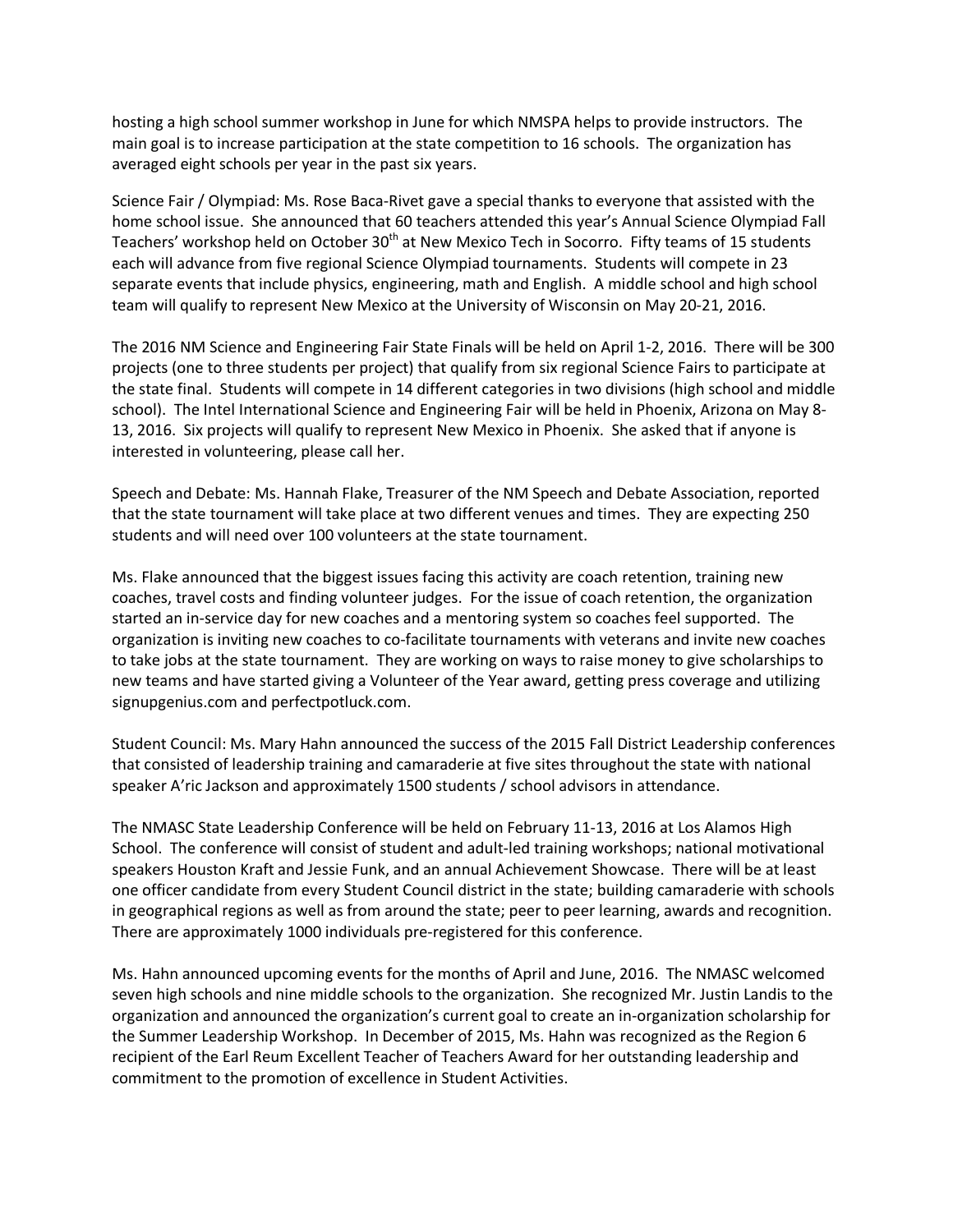hosting a high school summer workshop in June for which NMSPA helps to provide instructors. The main goal is to increase participation at the state competition to 16 schools. The organization has averaged eight schools per year in the past six years.

Science Fair / Olympiad: Ms. Rose Baca-Rivet gave a special thanks to everyone that assisted with the home school issue. She announced that 60 teachers attended this year's Annual Science Olympiad Fall Teachers' workshop held on October 30<sup>th</sup> at New Mexico Tech in Socorro. Fifty teams of 15 students each will advance from five regional Science Olympiad tournaments. Students will compete in 23 separate events that include physics, engineering, math and English. A middle school and high school team will qualify to represent New Mexico at the University of Wisconsin on May 20-21, 2016.

The 2016 NM Science and Engineering Fair State Finals will be held on April 1-2, 2016. There will be 300 projects (one to three students per project) that qualify from six regional Science Fairs to participate at the state final. Students will compete in 14 different categories in two divisions (high school and middle school). The Intel International Science and Engineering Fair will be held in Phoenix, Arizona on May 8- 13, 2016. Six projects will qualify to represent New Mexico in Phoenix. She asked that if anyone is interested in volunteering, please call her.

Speech and Debate: Ms. Hannah Flake, Treasurer of the NM Speech and Debate Association, reported that the state tournament will take place at two different venues and times. They are expecting 250 students and will need over 100 volunteers at the state tournament.

Ms. Flake announced that the biggest issues facing this activity are coach retention, training new coaches, travel costs and finding volunteer judges. For the issue of coach retention, the organization started an in-service day for new coaches and a mentoring system so coaches feel supported. The organization is inviting new coaches to co-facilitate tournaments with veterans and invite new coaches to take jobs at the state tournament. They are working on ways to raise money to give scholarships to new teams and have started giving a Volunteer of the Year award, getting press coverage and utilizing signupgenius.com and perfectpotluck.com.

Student Council: Ms. Mary Hahn announced the success of the 2015 Fall District Leadership conferences that consisted of leadership training and camaraderie at five sites throughout the state with national speaker A'ric Jackson and approximately 1500 students / school advisors in attendance.

The NMASC State Leadership Conference will be held on February 11-13, 2016 at Los Alamos High School. The conference will consist of student and adult-led training workshops; national motivational speakers Houston Kraft and Jessie Funk, and an annual Achievement Showcase. There will be at least one officer candidate from every Student Council district in the state; building camaraderie with schools in geographical regions as well as from around the state; peer to peer learning, awards and recognition. There are approximately 1000 individuals pre-registered for this conference.

Ms. Hahn announced upcoming events for the months of April and June, 2016. The NMASC welcomed seven high schools and nine middle schools to the organization. She recognized Mr. Justin Landis to the organization and announced the organization's current goal to create an in-organization scholarship for the Summer Leadership Workshop. In December of 2015, Ms. Hahn was recognized as the Region 6 recipient of the Earl Reum Excellent Teacher of Teachers Award for her outstanding leadership and commitment to the promotion of excellence in Student Activities.